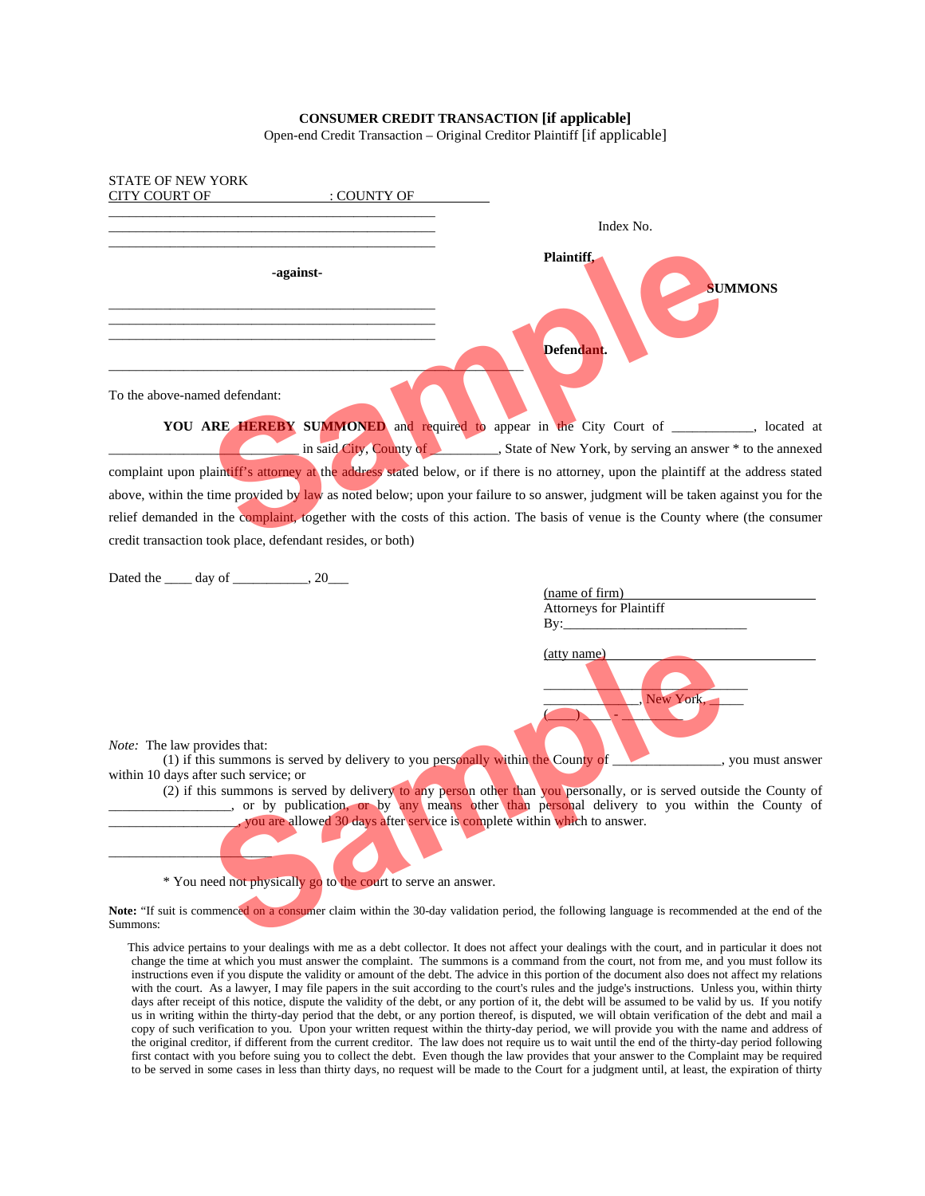## **CONSUMER CREDIT TRANSACTION [if applicable]**

Open-end Credit Transaction – Original Creditor Plaintiff [if applicable]

|                                                                                                                                       | Index No.                                                                                                                                |
|---------------------------------------------------------------------------------------------------------------------------------------|------------------------------------------------------------------------------------------------------------------------------------------|
| -against-                                                                                                                             | Plaintiff.<br><b>SUMMONS</b>                                                                                                             |
|                                                                                                                                       | Defendant.                                                                                                                               |
| To the above-named defendant:                                                                                                         |                                                                                                                                          |
|                                                                                                                                       | YOU ARE HEREBY SUMMONED and required to appear in the City Court of ________, located at                                                 |
|                                                                                                                                       | in said City, County of State of New York, by serving an answer * to the annexed                                                         |
| complaint upon plaintiff's attorney at the address stated below, or if there is no attorney, upon the plaintiff at the address stated |                                                                                                                                          |
| above, within the time provided by law as noted below; upon your failure to so answer, judgment will be taken against you for the     |                                                                                                                                          |
| relief demanded in the complaint, together with the costs of this action. The basis of venue is the County where (the consumer        |                                                                                                                                          |
| credit transaction took place, defendant resides, or both)                                                                            |                                                                                                                                          |
|                                                                                                                                       |                                                                                                                                          |
| Dated the $\_\_\_$ day of $\_\_\_\_\_$ , 20 $\_\_\_\_\$                                                                               | (name of firm)                                                                                                                           |
|                                                                                                                                       | Attorneys for Plaintiff                                                                                                                  |
|                                                                                                                                       |                                                                                                                                          |
|                                                                                                                                       | (atty name)                                                                                                                              |
|                                                                                                                                       |                                                                                                                                          |
|                                                                                                                                       |                                                                                                                                          |
|                                                                                                                                       | New York.                                                                                                                                |
|                                                                                                                                       |                                                                                                                                          |
|                                                                                                                                       |                                                                                                                                          |
| <i>Note:</i> The law provides that:<br>(1) if this summons is served by delivery to you personally within the County of $\equiv$      |                                                                                                                                          |
| within 10 days after such service; or                                                                                                 |                                                                                                                                          |
| or by publication, or by any means other than personal delivery to you within the County of                                           |                                                                                                                                          |
| you are allowed 30 days after service is complete within which to answer.                                                             |                                                                                                                                          |
|                                                                                                                                       | you must answer<br>(2) if this summons is served by delivery to any person other than you personally, or is served outside the County of |
|                                                                                                                                       |                                                                                                                                          |
| * You need not physically go to the court to serve an answer.                                                                         |                                                                                                                                          |

 This advice pertains to your dealings with me as a debt collector. It does not affect your dealings with the court, and in particular it does not change the time at which you must answer the complaint. The summons is a command from the court, not from me, and you must follow its instructions even if you dispute the validity or amount of the debt. The advice in this portion of the document also does not affect my relations with the court. As a lawyer, I may file papers in the suit according to the court's rules and the judge's instructions. Unless you, within thirty days after receipt of this notice, dispute the validity of the debt, or any portion of it, the debt will be assumed to be valid by us. If you notify us in writing within the thirty-day period that the debt, or any portion thereof, is disputed, we will obtain verification of the debt and mail a copy of such verification to you. Upon your written request within the thirty-day period, we will provide you with the name and address of the original creditor, if different from the current creditor. The law does not require us to wait until the end of the thirty-day period following first contact with you before suing you to collect the debt. Even though the law provides that your answer to the Complaint may be required to be served in some cases in less than thirty days, no request will be made to the Court for a judgment until, at least, the expiration of thirty